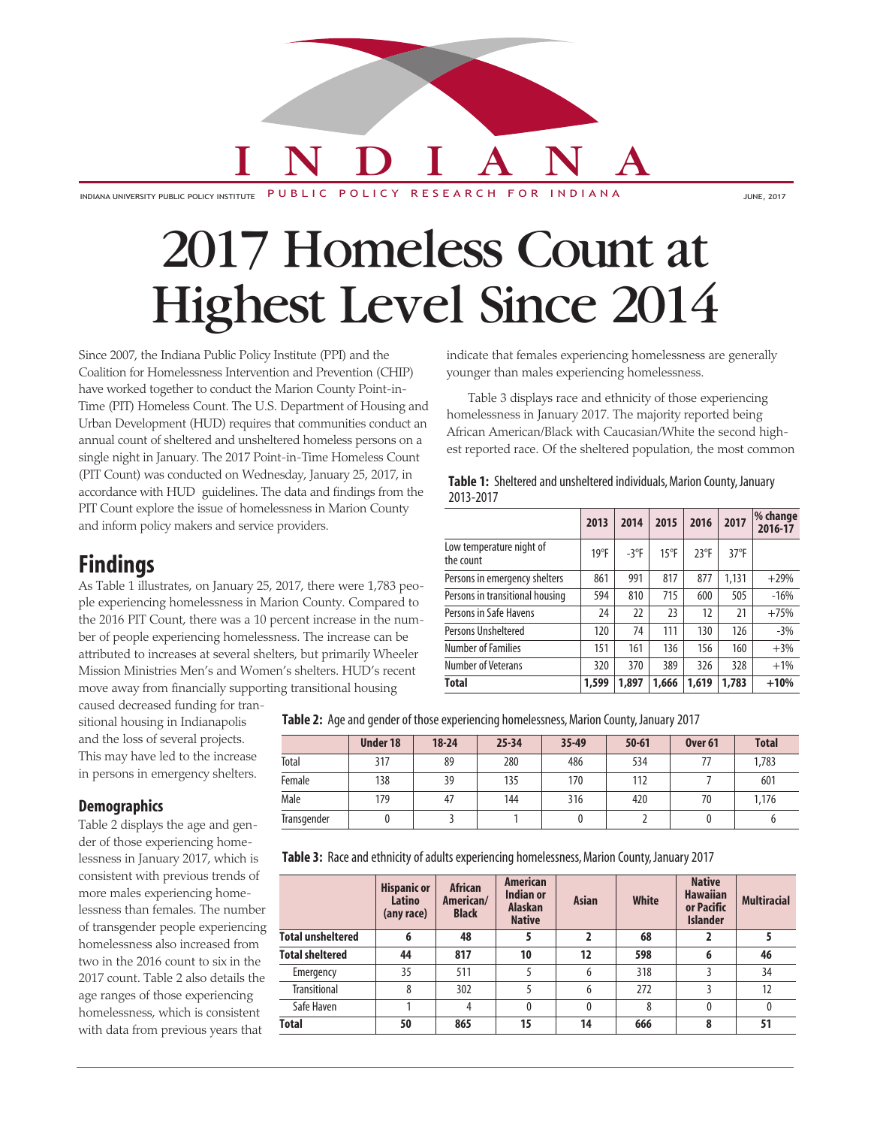# I N D I A N A

INDIANA UNIVERSITY PUBLIC POLICY INSTITUTE PUBLIC POLICY RESEARCH FOR INDIANA

## 2017 Homeless Count at Highest Level Since 2014

Since 2007, the Indiana Public Policy Institute (PPI) and the Coalition for Homelessness Intervention and Prevention (CHIP) have worked together to conduct the Marion County Point-in-Time (PIT) Homeless Count. The U.S. Department of Housing and Urban Development (HUD) requires that communities conduct an annual count of sheltered and unsheltered homeless persons on a single night in January. The 2017 Point-in-Time Homeless Count (PIT Count) was conducted on Wednesday, January 25, 2017, in accordance with HUD guidelines. The data and findings from the PIT Count explore the issue of homelessness in Marion County and inform policy makers and service providers.

### **Findings**

As Table 1 illustrates, on January 25, 2017, there were 1,783 people experiencing homelessness in Marion County. Compared to the 2016 PIT Count, there was a 10 percent increase in the number of people experiencing homelessness. The increase can be attributed to increases at several shelters, but primarily Wheeler Mission Ministries Men's and Women's shelters. HUD's recent move away from financially supporting transitional housing

indicate that females experiencing homelessness are generally younger than males experiencing homelessness.

Table 3 displays race and ethnicity of those experiencing homelessness in January 2017. The majority reported being African American/Black with Caucasian/White the second highest reported race. Of the sheltered population, the most common

| Table 1: Sheltered and unsheltered individuals, Marion County, January |
|------------------------------------------------------------------------|
| 2013-2017                                                              |

|                                       | 2013  | 2014    | 2015           | 2016          | 2017           | % change<br>2016-17 |
|---------------------------------------|-------|---------|----------------|---------------|----------------|---------------------|
| Low temperature night of<br>the count | 19°F  | $-3$ °F | $15^{\circ}$ F | $23^{\circ}F$ | $37^{\circ}$ F |                     |
| Persons in emergency shelters         | 861   | 991     | 817            | 877           | 1,131          | $+29%$              |
| Persons in transitional housing       | 594   | 810     | 715            | 600           | 505            | $-16%$              |
| Persons in Safe Havens                | 24    | 22      | 23             | 12            | 21             | $+75%$              |
| Persons Unsheltered                   | 120   | 74      | 111            | 130           | 126            | $-3%$               |
| <b>Number of Families</b>             | 151   | 161     | 136            | 156           | 160            | $+3%$               |
| Number of Veterans                    | 320   | 370     | 389            | 326           | 328            | $+1%$               |
| <b>Total</b>                          | 1,599 | 1,897   | 1,666          | 1,619         | 1,783          | $+10%$              |

caused decreased funding for transitional housing in Indianapolis and the loss of several projects. This may have led to the increase in persons in emergency shelters.

**Table 2:** Age and gender of those experiencing homelessness, Marion County, January 2017

|             | <b>Under 18</b> | $18 - 24$ | $25 - 34$ | 35-49 | $50 - 61$ | Over <sub>61</sub> | <b>Total</b> |
|-------------|-----------------|-----------|-----------|-------|-----------|--------------------|--------------|
| Total       | 317             | 89        | 280       | 486   | 534       |                    | 1,783        |
| Female      | 138             | 39        | 135       | 170   | 112       |                    | 601          |
| Male        | 179             | 47        | 144       | 316   | 420       | 70                 | 1.176        |
| Transgender |                 |           |           |       |           |                    |              |

#### **Demographics**

Table 2 displays the age and gender of those experiencing homelessness in January 2017, which is consistent with previous trends of more males experiencing homelessness than females. The number of transgender people experiencing homelessness also increased from two in the 2016 count to six in the 2017 count. Table 2 also details the age ranges of those experiencing homelessness, which is consistent with data from previous years that

**Table 3:** Race and ethnicity of adults experiencing homelessness, Marion County, January 2017

|                          | <b>Hispanic or</b><br>Latino<br>(any race) | <b>African</b><br>American/<br><b>Black</b> | <b>American</b><br>Indian or<br><b>Alaskan</b><br><b>Native</b> | <b>Asian</b> | <b>White</b> | <b>Native</b><br><b>Hawaiian</b><br>or Pacific<br><b>Islander</b> | <b>Multiracial</b> |
|--------------------------|--------------------------------------------|---------------------------------------------|-----------------------------------------------------------------|--------------|--------------|-------------------------------------------------------------------|--------------------|
| <b>Total unsheltered</b> | 6                                          | 48                                          | 5                                                               |              | 68           |                                                                   |                    |
| <b>Total sheltered</b>   | 44                                         | 817                                         | 10                                                              | 12           | 598          | 6                                                                 | 46                 |
| Emergency                | 35                                         | 511                                         |                                                                 | 6            | 318          |                                                                   | 34                 |
| <b>Transitional</b>      | 8                                          | 302                                         |                                                                 | 6            | 272          |                                                                   | 12                 |
| Safe Haven               |                                            | 4                                           | $\theta$                                                        | $\Omega$     | 8            | 0                                                                 |                    |
| <b>Total</b>             | 50                                         | 865                                         | 15                                                              | 14           | 666          | 8                                                                 | 51                 |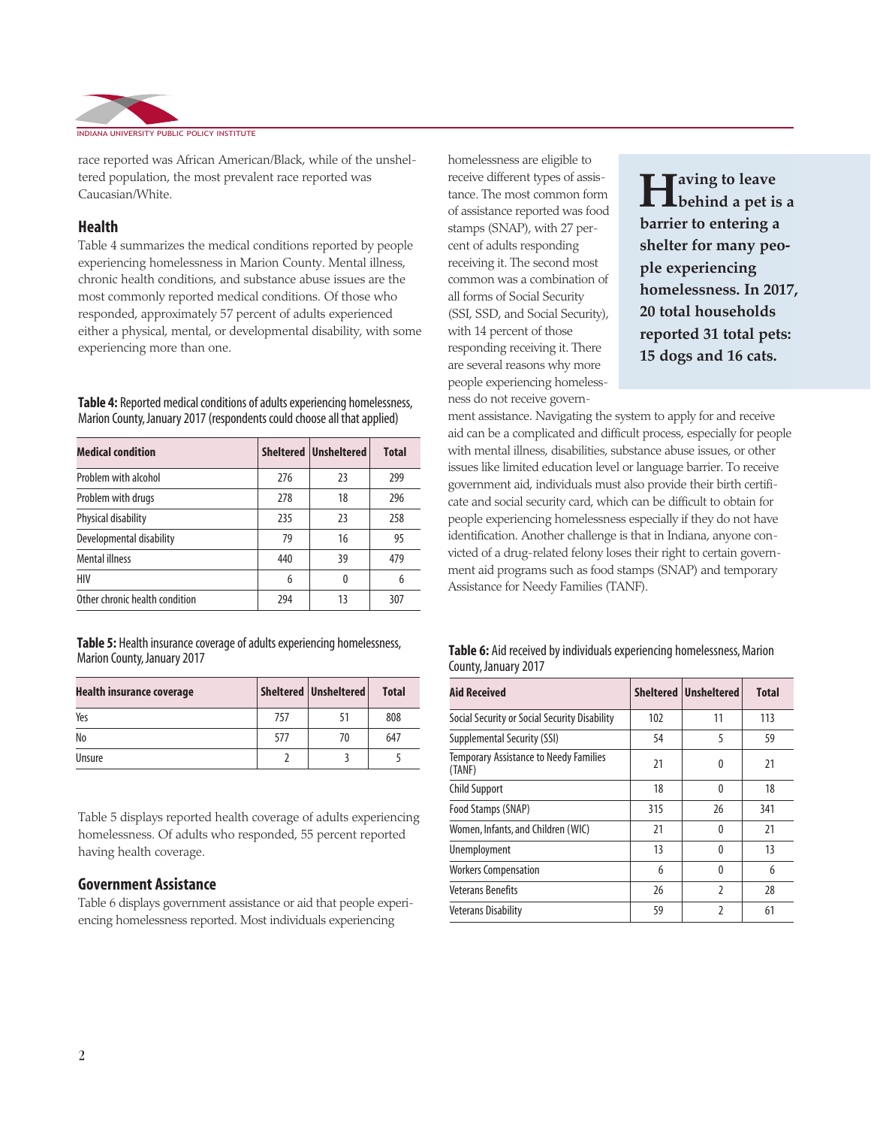

race reported was African American/Black, while of the unsheltered population, the most prevalent race reported was Caucasian/White.

#### **Health**

Table 4 summarizes the medical conditions reported by people experiencing homelessness in Marion County. Mental illness, chronic health conditions, and substance abuse issues are the most commonly reported medical conditions. Of those who responded, approximately 57 percent of adults experienced either a physical, mental, or developmental disability, with some experiencing more than one.

**Table 4:** Reported medical conditions of adults experiencing homelessness, Marion County, January 2017 (respondents could choose all that applied)

| <b>Medical condition</b>       |     | Sheltered   Unsheltered | <b>Total</b> |
|--------------------------------|-----|-------------------------|--------------|
| Problem with alcohol           | 276 | 23                      | 299          |
| Problem with drugs             | 278 | 18                      | 296          |
| Physical disability            | 235 | 23                      | 258          |
| Developmental disability       | 79  | 16                      | 95           |
| <b>Mental illness</b>          | 440 | 39                      | 479          |
| HIV                            | 6   | $\Omega$                | 6            |
| Other chronic health condition | 294 | 13                      | 307          |

**Table 5:** Health insurance coverage of adults experiencing homelessness, Marion County, January 2017

| <b>Health insurance coverage</b> |     | Sheltered   Unsheltered | <b>Total</b> |
|----------------------------------|-----|-------------------------|--------------|
| Yes                              | 757 | 51                      | 808          |
| No                               | 577 | 70                      | 647          |
| Unsure                           |     |                         |              |

Table 5 displays reported health coverage of adults experiencing homelessness. Of adults who responded, 55 percent reported having health coverage.

#### **Government Assistance**

Table 6 displays government assistance or aid that people experiencing homelessness reported. Most individuals experiencing

homelessness are eligible to receive different types of assistance. The most common form of assistance reported was food stamps (SNAP), with 27 percent of adults responding receiving it. The second most common was a combination of all forms of Social Security (SSI, SSD, and Social Security), with 14 percent of those responding receiving it. There are several reasons why more people experiencing homelessness do not receive govern-

**Having to leave behind a pet is a barrier to entering a shelter for many people experiencing homelessness. In 2017, 20 total households reported 31 total pets: 15 dogs and 16 cats.**

ment assistance. Navigating the system to apply for and receive aid can be a complicated and difficult process, especially for people with mental illness, disabilities, substance abuse issues, or other issues like limited education level or language barrier. To receive government aid, individuals must also provide their birth certificate and social security card, which can be difficult to obtain for people experiencing homelessness especially if they do not have identification. Another challenge is that in Indiana, anyone convicted of a drug-related felony loses their right to certain government aid programs such as food stamps (SNAP) and temporary Assistance for Needy Families (TANF).

| Table 6: Aid received by individuals experiencing homelessness, Marion |
|------------------------------------------------------------------------|
| County, January 2017                                                   |

| <b>Aid Received</b>                                     |     | Sheltered Unsheltered | <b>Total</b> |
|---------------------------------------------------------|-----|-----------------------|--------------|
| Social Security or Social Security Disability           | 102 | 11                    | 113          |
| <b>Supplemental Security (SSI)</b>                      | 54  | 5                     | 59           |
| <b>Temporary Assistance to Needy Families</b><br>(TANF) | 21  | 0                     | 21           |
| <b>Child Support</b>                                    | 18  | 0                     | 18           |
| Food Stamps (SNAP)                                      | 315 | 26                    | 341          |
| Women, Infants, and Children (WIC)                      | 21  | 0                     | 21           |
| <b>Unemployment</b>                                     | 13  | 0                     | 13           |
| <b>Workers Compensation</b>                             | 6   | 0                     | 6            |
| Veterans Benefits                                       | 26  | <sup>2</sup>          | 28           |
| <b>Veterans Disability</b>                              | 59  | 2                     | 61           |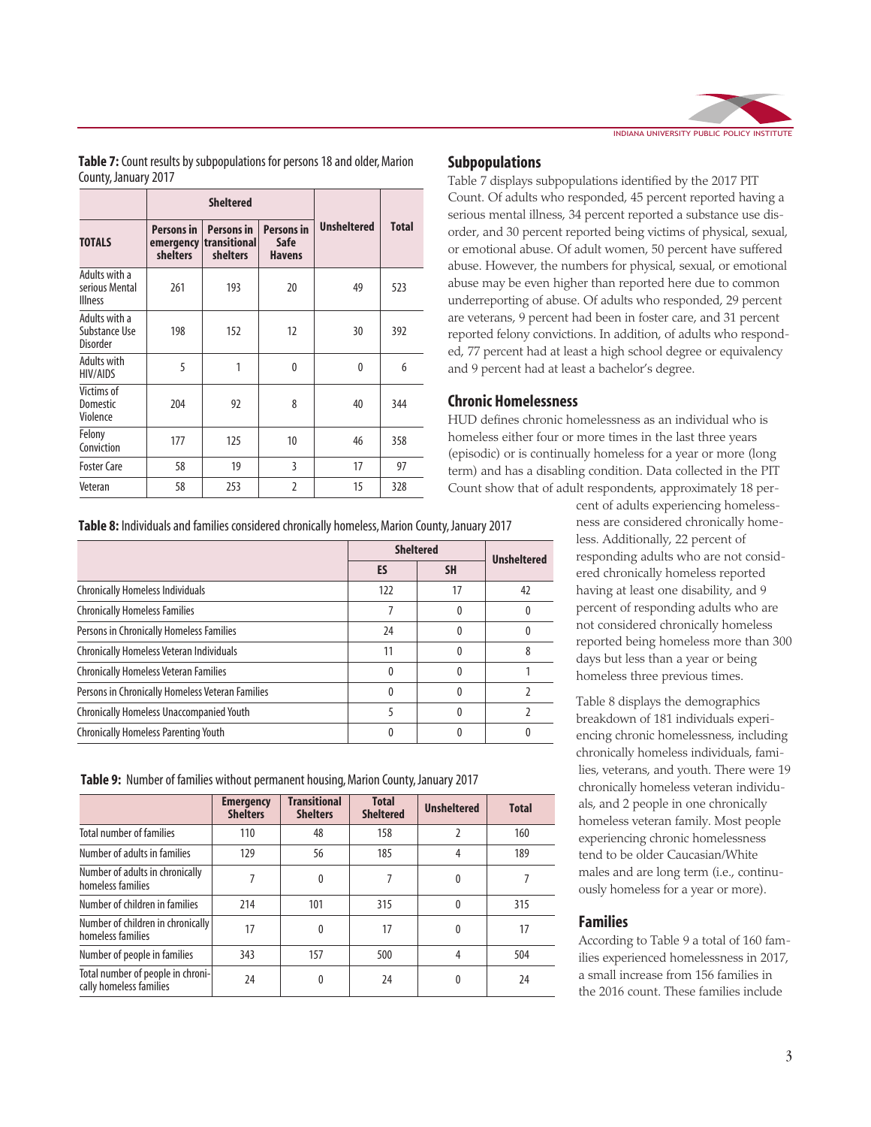

**Table 7:** Count results by subpopulations for persons 18 and older, Marion County, January 2017

|                                                   |                               | <b>Sheltered</b>                                        |                                                   |                    |              |
|---------------------------------------------------|-------------------------------|---------------------------------------------------------|---------------------------------------------------|--------------------|--------------|
| <b>TOTALS</b>                                     | <b>Persons in</b><br>shelters | <b>Persons in</b><br>emergency transitional<br>shelters | <b>Persons in</b><br><b>Safe</b><br><b>Havens</b> | <b>Unsheltered</b> | <b>Total</b> |
| Adults with a<br>serious Mental<br><b>Illness</b> | 261                           | 193                                                     | 20                                                | 49                 | 523          |
| Adults with a<br>Substance Use<br>Disorder        | 198                           | 152                                                     | 12                                                | 30                 | 392          |
| <b>Adults with</b><br><b>HIV/AIDS</b>             | 5                             | 1                                                       | 0                                                 | $\theta$           | 6            |
| Victims of<br>Domestic<br>Violence                | 204                           | 92                                                      | 8                                                 | 40                 | 344          |
| Felony<br>Conviction                              | 177                           | 125                                                     | 10                                                | 46                 | 358          |
| <b>Foster Care</b>                                | 58                            | 19                                                      | 3                                                 | 17                 | 97           |
| Veteran                                           | 58                            | 253                                                     | $\overline{2}$                                    | 15                 | 328          |

Table 8: Individuals and families considered chronically homeless, Marion County, January 2017

|                                                  | <b>Sheltered</b> | <b>Unsheltered</b> |    |
|--------------------------------------------------|------------------|--------------------|----|
|                                                  | ES               | <b>SH</b>          |    |
| <b>Chronically Homeless Individuals</b>          | 122              | 17                 | 42 |
| <b>Chronically Homeless Families</b>             |                  | <sup>0</sup>       |    |
| Persons in Chronically Homeless Families         | 24               |                    |    |
| <b>Chronically Homeless Veteran Individuals</b>  | 11               |                    |    |
| <b>Chronically Homeless Veteran Families</b>     | ŋ                |                    |    |
| Persons in Chronically Homeless Veteran Families |                  |                    |    |
| Chronically Homeless Unaccompanied Youth         |                  |                    |    |
| <b>Chronically Homeless Parenting Youth</b>      |                  |                    |    |

**Table 9:** Number of families without permanent housing, Marion County, January 2017

|                                                              | <b>Emergency</b><br><b>Shelters</b> | <b>Transitional</b><br><b>Shelters</b> | <b>Total</b><br><b>Sheltered</b> | <b>Unsheltered</b> | <b>Total</b> |
|--------------------------------------------------------------|-------------------------------------|----------------------------------------|----------------------------------|--------------------|--------------|
| <b>Total number of families</b>                              | 110                                 | 48                                     | 158                              |                    | 160          |
| Number of adults in families                                 | 129                                 | 56                                     | 185                              | 4                  | 189          |
| Number of adults in chronically<br>homeless families         |                                     | 0                                      |                                  | 0                  |              |
| Number of children in families                               | 214                                 | 101                                    | 315                              | $\theta$           | 315          |
| Number of children in chronically<br>homeless families       | 17                                  | 0                                      | 17                               | 0                  | 17           |
| Number of people in families                                 | 343                                 | 157                                    | 500                              | 4                  | 504          |
| Total number of people in chroni-<br>cally homeless families | 24                                  | 0                                      | 24                               | 0                  | 24           |

#### **Subpopulations**

Table 7 displays subpopulations identified by the 2017 PIT Count. Of adults who responded, 45 percent reported having a serious mental illness, 34 percent reported a substance use disorder, and 30 percent reported being victims of physical, sexual, or emotional abuse. Of adult women, 50 percent have suffered abuse. However, the numbers for physical, sexual, or emotional abuse may be even higher than reported here due to common underreporting of abuse. Of adults who responded, 29 percent are veterans, 9 percent had been in foster care, and 31 percent reported felony convictions. In addition, of adults who responded, 77 percent had at least a high school degree or equivalency and 9 percent had at least a bachelor's degree.

#### **Chronic Homelessness**

HUD defines chronic homelessness as an individual who is homeless either four or more times in the last three years (episodic) or is continually homeless for a year or more (long term) and has a disabling condition. Data collected in the PIT Count show that of adult respondents, approximately 18 per-

> cent of adults experiencing homelessness are considered chronically homeless. Additionally, 22 percent of responding adults who are not considered chronically homeless reported having at least one disability, and 9 percent of responding adults who are not considered chronically homeless reported being homeless more than 300 days but less than a year or being homeless three previous times.

> Table 8 displays the demographics breakdown of 181 individuals experiencing chronic homelessness, including chronically homeless individuals, families, veterans, and youth. There were 19 chronically homeless veteran individuals, and 2 people in one chronically homeless veteran family. Most people experiencing chronic homelessness tend to be older Caucasian/White males and are long term (i.e., continuously homeless for a year or more).

#### **Families**

According to Table 9 a total of 160 families experienced homelessness in 2017, a small increase from 156 families in the 2016 count. These families include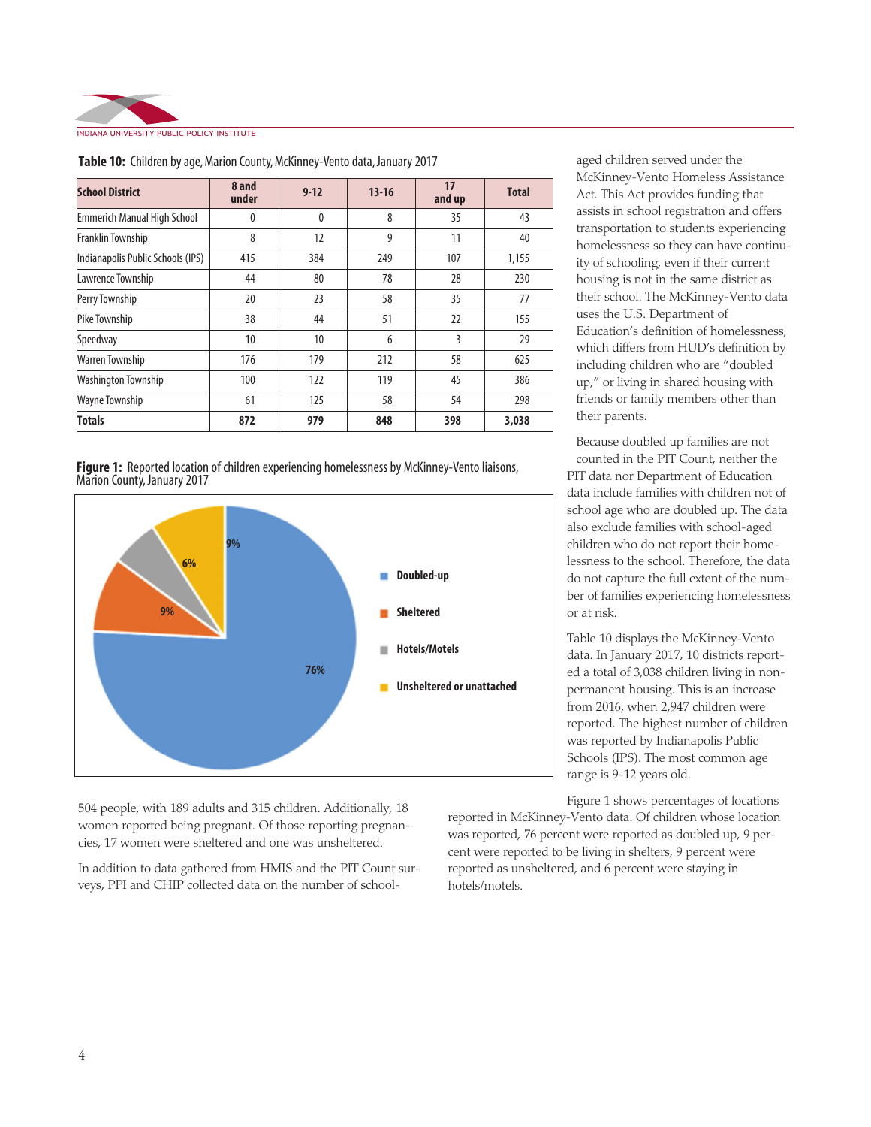

| <b>School District</b>             | 8 and<br>under | $9 - 12$     | $13 - 16$ | 17<br>and up | <b>Total</b> |
|------------------------------------|----------------|--------------|-----------|--------------|--------------|
| <b>Emmerich Manual High School</b> | 0              | $\mathbf{0}$ | 8         | 35           | 43           |
| Franklin Township                  | 8              | 12           | 9         | 11           | 40           |
| Indianapolis Public Schools (IPS)  | 415            | 384          | 249       | 107          | 1,155        |
| Lawrence Township                  | 44             | 80           | 78        | 28           | 230          |
| Perry Township                     | 20             | 23           | 58        | 35           | 77           |
| Pike Township                      | 38             | 44           | 51        | 22           | 155          |
| Speedway                           | 10             | 10           | 6         | 3            | 29           |
| <b>Warren Township</b>             | 176            | 179          | 212       | 58           | 625          |
| Washington Township                | 100            | 122          | 119       | 45           | 386          |
| <b>Wayne Township</b>              | 61             | 125          | 58        | 54           | 298          |
| <b>Totals</b>                      | 872            | 979          | 848       | 398          | 3,038        |

**Table 10:** Children by age, Marion County, McKinney-Vento data, January 2017





504 people, with 189 adults and 315 children. Additionally, 18 women reported being pregnant. Of those reporting pregnancies, 17 women were sheltered and one was unsheltered.

In addition to data gathered from HMIS and the PIT Count surveys, PPI and CHIP collected data on the number of school-

aged children served under the McKinney-Vento Homeless Assistance Act. This Act provides funding that assists in school registration and offers transportation to students experiencing homelessness so they can have continuity of schooling, even if their current housing is not in the same district as their school. The McKinney-Vento data uses the U.S. Department of Education's definition of homelessness, which differs from HUD's definition by including children who are "doubled up," or living in shared housing with friends or family members other than their parents.

Because doubled up families are not counted in the PIT Count, neither the PIT data nor Department of Education data include families with children not of school age who are doubled up. The data also exclude families with school-aged children who do not report their homelessness to the school. Therefore, the data do not capture the full extent of the number of families experiencing homelessness or at risk.

Table 10 displays the McKinney-Vento data. In January 2017, 10 districts reported a total of 3,038 children living in nonpermanent housing. This is an increase from 2016, when 2,947 children were reported. The highest number of children was reported by Indianapolis Public Schools (IPS). The most common age range is 9-12 years old.

Figure 1 shows percentages of locations reported in McKinney-Vento data. Of children whose location was reported, 76 percent were reported as doubled up, 9 percent were reported to be living in shelters, 9 percent were reported as unsheltered, and 6 percent were staying in hotels/motels.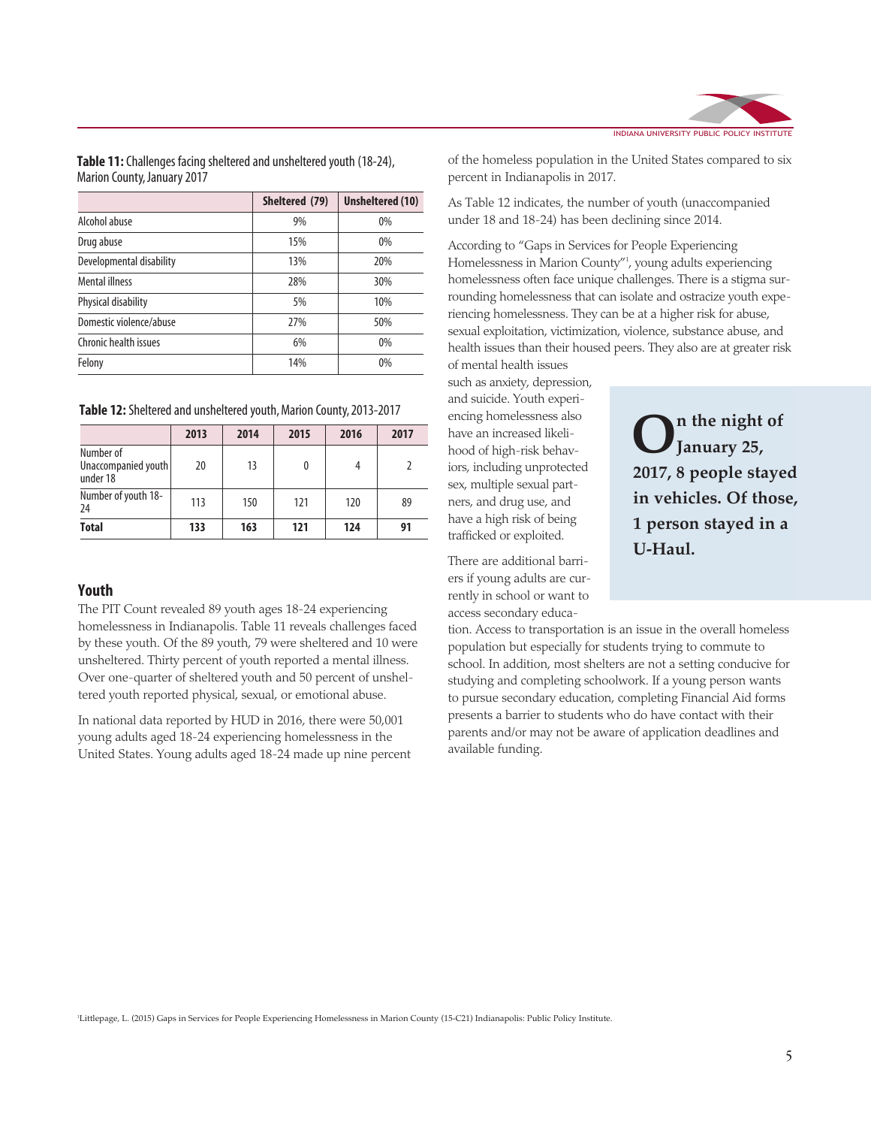|                          | Sheltered (79) | Unsheltered (10) |  |
|--------------------------|----------------|------------------|--|
| Alcohol abuse            | 9%             | $0\%$            |  |
| Drug abuse               | 15%            | $0\%$            |  |
| Developmental disability | 13%            | 20%              |  |
| Mental illness           | 28%            | 30%              |  |
| Physical disability      | 5%             | 10%              |  |
| Domestic violence/abuse  | 27%            | 50%              |  |
| Chronic health issues    | 6%             | $0\%$            |  |
| Felony                   | 14%            | 0%               |  |

**Table 11:** Challenges facing sheltered and unsheltered youth (18-24), Marion County, January 2017

**Table 12:** Sheltered and unsheltered youth, Marion County, 2013-2017

|                                              | 2013 | 2014 | 2015 | 2016 | 2017 |
|----------------------------------------------|------|------|------|------|------|
| Number of<br>Unaccompanied youth<br>under 18 | 20   | 13   |      |      |      |
| Number of youth 18-<br>24                    | 113  | 150  | 121  | 120  | 89   |
| <b>Total</b>                                 | 133  | 163  | 121  | 124  | 91   |

#### **Youth**

The PIT Count revealed 89 youth ages 18-24 experiencing homelessness in Indianapolis. Table 11 reveals challenges faced by these youth. Of the 89 youth, 79 were sheltered and 10 were unsheltered. Thirty percent of youth reported a mental illness. Over one-quarter of sheltered youth and 50 percent of unsheltered youth reported physical, sexual, or emotional abuse.

In national data reported by HUD in 2016, there were 50,001 young adults aged 18-24 experiencing homelessness in the United States. Young adults aged 18-24 made up nine percent



of the homeless population in the United States compared to six percent in Indianapolis in 2017.

As Table 12 indicates, the number of youth (unaccompanied under 18 and 18-24) has been declining since 2014.

According to "Gaps in Services for People Experiencing Homelessness in Marion County"1 , young adults experiencing homelessness often face unique challenges. There is a stigma surrounding homelessness that can isolate and ostracize youth experiencing homelessness. They can be at a higher risk for abuse, sexual exploitation, victimization, violence, substance abuse, and health issues than their housed peers. They also are at greater risk of mental health issues

such as anxiety, depression, and suicide. Youth experiencing homelessness also have an increased likelihood of high-risk behaviors, including unprotected sex, multiple sexual partners, and drug use, and have a high risk of being trafficked or exploited.

There are additional barriers if young adults are currently in school or want to access secondary educa**On the night of January 25, 2017, 8 people stayed in vehicles. Of those, 1 person stayed in a U-Haul.**

tion. Access to transportation is an issue in the overall homeless population but especially for students trying to commute to school. In addition, most shelters are not a setting conducive for studying and completing schoolwork. If a young person wants to pursue secondary education, completing Financial Aid forms presents a barrier to students who do have contact with their parents and/or may not be aware of application deadlines and available funding.

1 Littlepage, L. (2015) Gaps in Services for People Experiencing Homelessness in Marion County (15-C21) Indianapolis: Public Policy Institute.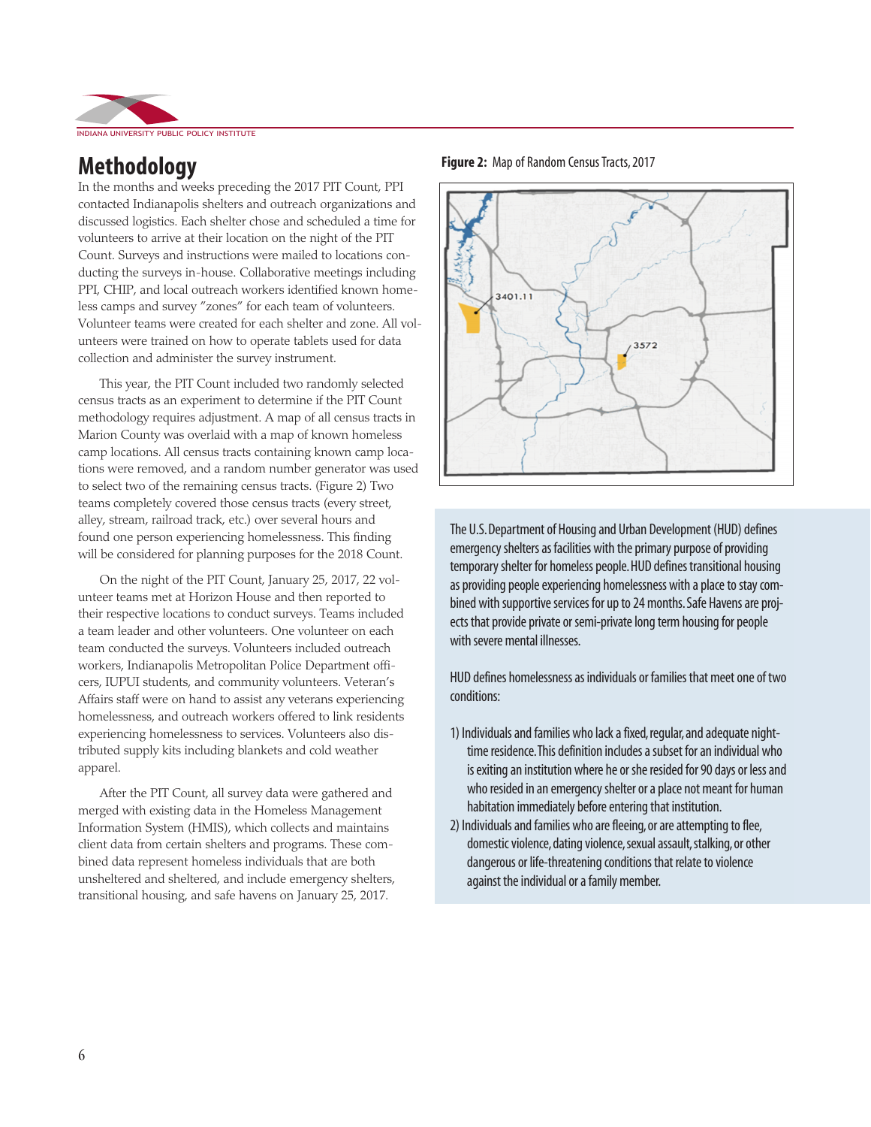

### **Methodology**

In the months and weeks preceding the 2017 PIT Count, PPI contacted Indianapolis shelters and outreach organizations and discussed logistics. Each shelter chose and scheduled a time for volunteers to arrive at their location on the night of the PIT Count. Surveys and instructions were mailed to locations conducting the surveys in-house. Collaborative meetings including PPI, CHIP, and local outreach workers identified known homeless camps and survey "zones" for each team of volunteers. Volunteer teams were created for each shelter and zone. All volunteers were trained on how to operate tablets used for data collection and administer the survey instrument.

This year, the PIT Count included two randomly selected census tracts as an experiment to determine if the PIT Count methodology requires adjustment. A map of all census tracts in Marion County was overlaid with a map of known homeless camp locations. All census tracts containing known camp locations were removed, and a random number generator was used to select two of the remaining census tracts. (Figure 2) Two teams completely covered those census tracts (every street, alley, stream, railroad track, etc.) over several hours and found one person experiencing homelessness. This finding will be considered for planning purposes for the 2018 Count.

On the night of the PIT Count, January 25, 2017, 22 volunteer teams met at Horizon House and then reported to their respective locations to conduct surveys. Teams included a team leader and other volunteers. One volunteer on each team conducted the surveys. Volunteers included outreach workers, Indianapolis Metropolitan Police Department officers, IUPUI students, and community volunteers. Veteran's Affairs staff were on hand to assist any veterans experiencing homelessness, and outreach workers offered to link residents experiencing homelessness to services. Volunteers also distributed supply kits including blankets and cold weather apparel.

After the PIT Count, all survey data were gathered and merged with existing data in the Homeless Management Information System (HMIS), which collects and maintains client data from certain shelters and programs. These combined data represent homeless individuals that are both unsheltered and sheltered, and include emergency shelters, transitional housing, and safe havens on January 25, 2017.





The U.S. Department of Housing and Urban Development (HUD) defines emergency shelters as facilities with the primary purpose of providing temporary shelter for homeless people. HUD defines transitional housing as providing people experiencing homelessness with a place to stay combined with supportive services for up to 24 months. Safe Havens are projects that provide private or semi-private long term housing for people with severe mental illnesses.

HUD defines homelessness as individuals or families that meet one of two conditions:

- 1) Individuals and families who lack a fixed, regular, and adequate nighttime residence. This definition includes a subset for an individual who is exiting an institution where he or she resided for 90 days or less and who resided in an emergency shelter or a place not meant for human habitation immediately before entering that institution.
- 2) Individuals and families who are fleeing, or are attempting to flee, domestic violence, dating violence, sexual assault, stalking, or other dangerous or life-threatening conditions that relate to violence against the individual or a family member.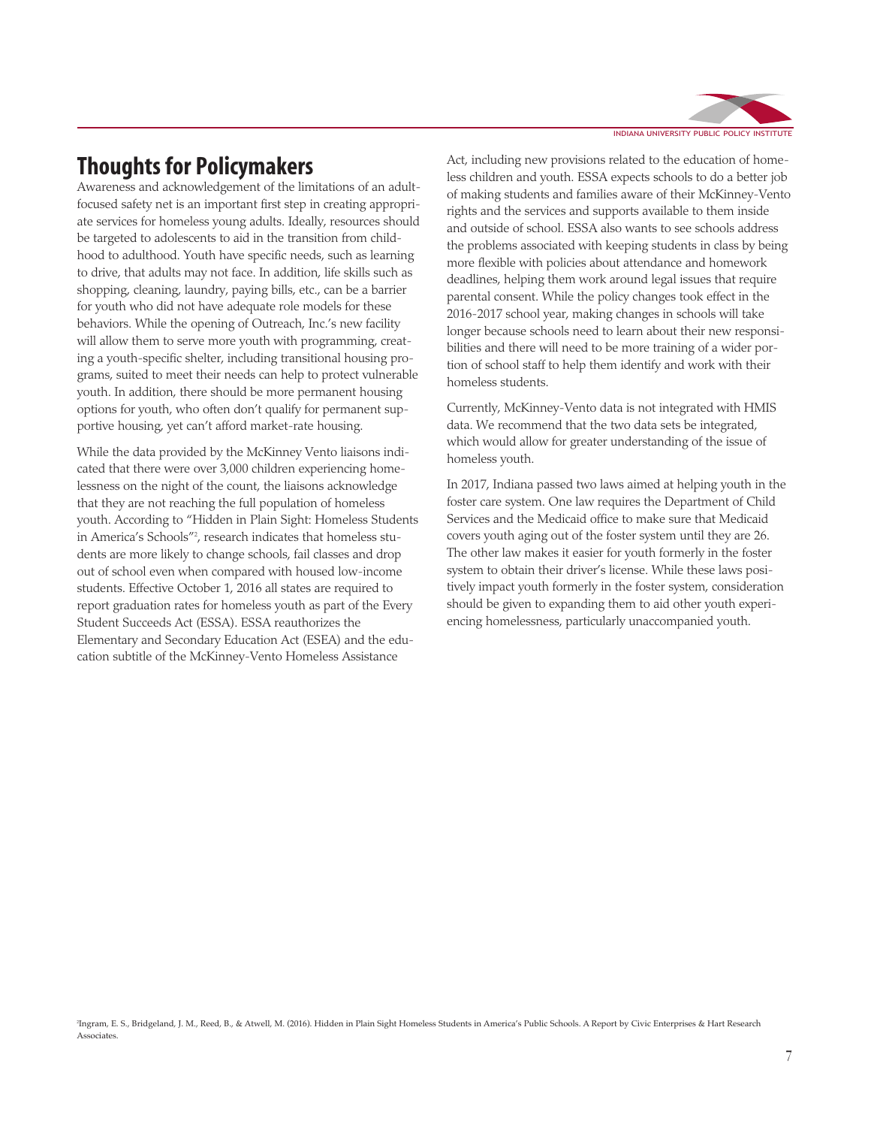## **Thoughts for Policymakers**

Awareness and acknowledgement of the limitations of an adultfocused safety net is an important first step in creating appropriate services for homeless young adults. Ideally, resources should be targeted to adolescents to aid in the transition from childhood to adulthood. Youth have specific needs, such as learning to drive, that adults may not face. In addition, life skills such as shopping, cleaning, laundry, paying bills, etc., can be a barrier for youth who did not have adequate role models for these behaviors. While the opening of Outreach, Inc.'s new facility will allow them to serve more youth with programming, creating a youth-specific shelter, including transitional housing programs, suited to meet their needs can help to protect vulnerable youth. In addition, there should be more permanent housing options for youth, who often don't qualify for permanent supportive housing, yet can't afford market-rate housing.

While the data provided by the McKinney Vento liaisons indicated that there were over 3,000 children experiencing homelessness on the night of the count, the liaisons acknowledge that they are not reaching the full population of homeless youth. According to "Hidden in Plain Sight: Homeless Students in America's Schools"2 , research indicates that homeless students are more likely to change schools, fail classes and drop out of school even when compared with housed low-income students. Effective October 1, 2016 all states are required to report graduation rates for homeless youth as part of the Every Student Succeeds Act (ESSA). ESSA reauthorizes the Elementary and Secondary Education Act (ESEA) and the education subtitle of the McKinney-Vento Homeless Assistance



Act, including new provisions related to the education of homeless children and youth. ESSA expects schools to do a better job of making students and families aware of their McKinney-Vento rights and the services and supports available to them inside and outside of school. ESSA also wants to see schools address the problems associated with keeping students in class by being more flexible with policies about attendance and homework deadlines, helping them work around legal issues that require parental consent. While the policy changes took effect in the 2016-2017 school year, making changes in schools will take longer because schools need to learn about their new responsibilities and there will need to be more training of a wider portion of school staff to help them identify and work with their homeless students.

Currently, McKinney-Vento data is not integrated with HMIS data. We recommend that the two data sets be integrated, which would allow for greater understanding of the issue of homeless youth.

In 2017, Indiana passed two laws aimed at helping youth in the foster care system. One law requires the Department of Child Services and the Medicaid office to make sure that Medicaid covers youth aging out of the foster system until they are 26. The other law makes it easier for youth formerly in the foster system to obtain their driver's license. While these laws positively impact youth formerly in the foster system, consideration should be given to expanding them to aid other youth experiencing homelessness, particularly unaccompanied youth.